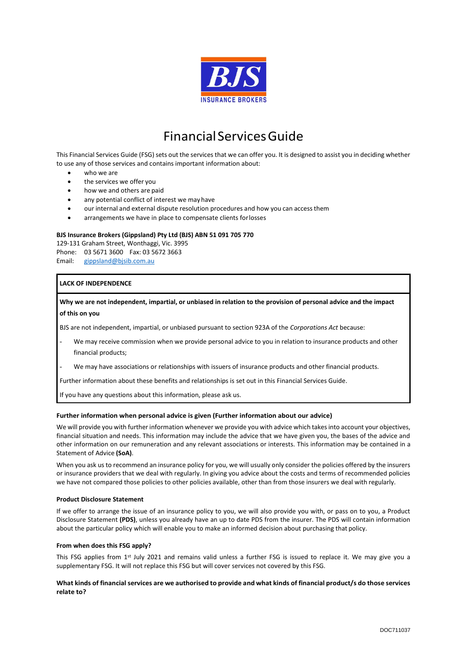

# FinancialServicesGuide

This Financial Services Guide (FSG) sets out the services that we can offer you. It is designed to assist you in deciding whether to use any of those services and contains important information about:

- who we are
- the services we offer you
- how we and others are paid
- any potential conflict of interest we may have
- our internal and external dispute resolution procedures and how you can access them
- arrangements we have in place to compensate clients for losses

# **BJS Insurance Brokers (Gippsland) Pty Ltd (BJS) ABN 51 091 705 770**

129-131 Graham Street, Wonthaggi, Vic. 3995 Phone: 03 5671 3600 Fax: 03 5672 3663 Email: [gippsland@bjsib.com.au](mailto:gippsland@bjsib.com.au)

# **LACK OF INDEPENDENCE**

# **Why we are not independent, impartial, or unbiased in relation to the provision of personal advice and the impact of this on you**

BJS are not independent, impartial, or unbiased pursuant to section 923A of the *Corporations Act* because:

- We may receive commission when we provide personal advice to you in relation to insurance products and other financial products;
- We may have associations or relationships with issuers of insurance products and other financial products.

Further information about these benefits and relationships is set out in this Financial Services Guide.

If you have any questions about this information, please ask us.

#### **Further information when personal advice is given (Further information about our advice)**

We will provide you with further information whenever we provide you with advice which takes into account your objectives, financial situation and needs. This information may include the advice that we have given you, the bases of the advice and other information on our remuneration and any relevant associations or interests. This information may be contained in a Statement of Advice **(SoA)**.

When you ask us to recommend an insurance policy for you, we will usually only consider the policies offered by the insurers or insurance providers that we deal with regularly. In giving you advice about the costs and terms of recommended policies we have not compared those policies to other policies available, other than from those insurers we deal with regularly.

#### **Product Disclosure Statement**

If we offer to arrange the issue of an insurance policy to you, we will also provide you with, or pass on to you, a Product Disclosure Statement **(PDS)**, unless you already have an up to date PDS from the insurer. The PDS will contain information about the particular policy which will enable you to make an informed decision about purchasing that policy.

#### **From when does this FSG apply?**

This FSG applies from 1st July 2021 and remains valid unless a further FSG is issued to replace it. We may give you a supplementary FSG. It will not replace this FSG but will cover services not covered by this FSG.

# **What kinds of financial services are we authorised to provide and what kinds of financial product/s do those services relate to?**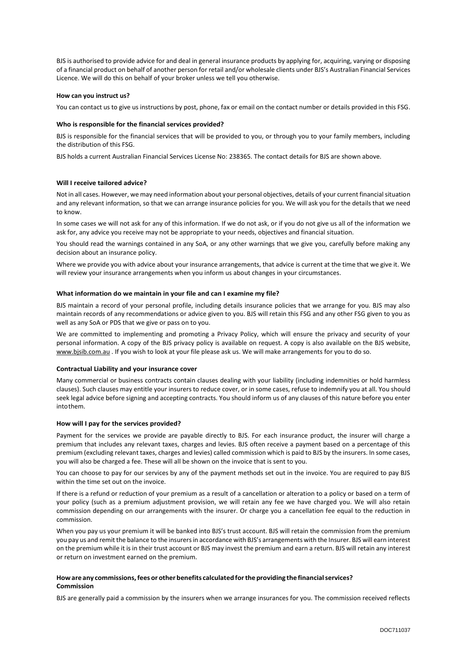BJS is authorised to provide advice for and deal in general insurance products by applying for, acquiring, varying or disposing of a financial product on behalf of another person for retail and/or wholesale clients under BJS's Australian Financial Services Licence. We will do this on behalf of your broker unless we tell you otherwise.

#### **How can you instruct us?**

You can contact us to give us instructions by post, phone, fax or email on the contact number or details provided in this FSG.

#### **Who is responsible for the financial services provided?**

BJS is responsible for the financial services that will be provided to you, or through you to your family members, including the distribution of this FSG.

BJS holds a current Australian Financial Services License No: 238365. The contact details for BJS are shown above.

# **Will I receive tailored advice?**

Not in all cases. However, we may need information about your personal objectives, details of your current financial situation and any relevant information, so that we can arrange insurance policies for you. We will ask you for the details that we need to know.

In some cases we will not ask for any of this information. If we do not ask, or if you do not give us all of the information we ask for, any advice you receive may not be appropriate to your needs, objectives and financial situation.

You should read the warnings contained in any SoA, or any other warnings that we give you, carefully before making any decision about an insurance policy.

Where we provide you with advice about your insurance arrangements, that advice is current at the time that we give it. We will review your insurance arrangements when you inform us about changes in your circumstances.

#### **What information do we maintain in your file and can I examine my file?**

BJS maintain a record of your personal profile, including details insurance policies that we arrange for you. BJS may also maintain records of any recommendations or advice given to you. BJS will retain this FSG and any other FSG given to you as well as any SoA or PDS that we give or pass on to you.

We are committed to implementing and promoting a Privacy Policy, which will ensure the privacy and security of your personal information. A copy of the BJS privacy policy is available on request. A copy is also available on the BJS website, [www.bjsib.com.au](http://www.bjsib.com.au/) . If you wish to look at your file please ask us. We will make arrangements for you to do so.

#### **Contractual Liability and your insurance cover**

Many commercial or business contracts contain clauses dealing with your liability (including indemnities or hold harmless clauses). Such clauses may entitle your insurers to reduce cover, or in some cases, refuse to indemnify you at all. You should seek legal advice before signing and accepting contracts. You should inform us of any clauses of this nature before you enter intothem.

#### **How will I pay for the services provided?**

Payment for the services we provide are payable directly to BJS. For each insurance product, the insurer will charge a premium that includes any relevant taxes, charges and levies. BJS often receive a payment based on a percentage of this premium (excluding relevant taxes, charges and levies) called commission which is paid to BJS by the insurers. In some cases, you will also be charged a fee. These will all be shown on the invoice that is sent to you.

You can choose to pay for our services by any of the payment methods set out in the invoice. You are required to pay BJS within the time set out on the invoice.

If there is a refund or reduction of your premium as a result of a cancellation or alteration to a policy or based on a term of your policy (such as a premium adjustment provision, we will retain any fee we have charged you. We will also retain commission depending on our arrangements with the insurer. Or charge you a cancellation fee equal to the reduction in commission.

When you pay us your premium it will be banked into BJS's trust account. BJS will retain the commission from the premium you pay us and remit the balance to the insurers in accordance with BJS's arrangements with the Insurer. BJS will earn interest on the premium while it is in their trust account or BJS may invest the premium and earn a return. BJS will retain any interest or return on investment earned on the premium.

# **Howare any commissions,fees or other benefits calculated fortheproviding the financialservices? Commission**

BJS are generally paid a commission by the insurers when we arrange insurances for you. The commission received reflects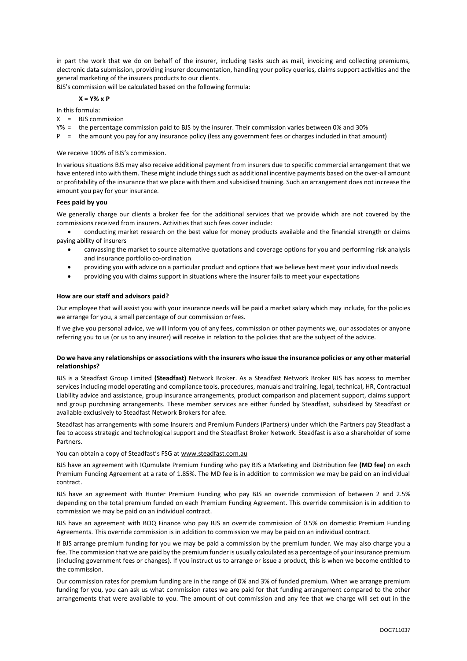in part the work that we do on behalf of the insurer, including tasks such as mail, invoicing and collecting premiums, electronic data submission, providing insurer documentation, handling your policy queries, claims support activities and the general marketing of the insurers products to our clients.

BJS's commission will be calculated based on the following formula:

#### **X = Y% x P**

In this formula:

- $X =$  BIS commission
- Y% = the percentage commission paid to BJS by the insurer. Their commission varies between 0% and 30%
- P = the amount you pay for any insurance policy (less any government fees or charges included in that amount)

# We receive 100% of BJS's commission.

In various situations BJS may also receive additional payment from insurers due to specific commercial arrangement that we have entered into with them. These might include things such as additional incentive payments based on the over-all amount or profitability of the insurance that we place with them and subsidised training. Such an arrangement does not increase the amount you pay for your insurance.

# **Fees paid by you**

We generally charge our clients a broker fee for the additional services that we provide which are not covered by the commissions received from insurers. Activities that such fees cover include:

• conducting market research on the best value for money products available and the financial strength or claims paying ability of insurers

- canvassing the market to source alternative quotations and coverage options for you and performing risk analysis and insurance portfolio co-ordination
- providing you with advice on a particular product and options that we believe best meet your individual needs
- providing you with claims support in situations where the insurer fails to meet your expectations

# **How are our staff and advisors paid?**

Our employee that will assist you with your insurance needs will be paid a market salary which may include, for the policies we arrange for you, a small percentage of our commission orfees.

If we give you personal advice, we will inform you of any fees, commission or other payments we, our associates or anyone referring you to us (or us to any insurer) will receive in relation to the policies that are the subject of the advice.

# **Do we have any relationships or associations with the insurers who issue the insurance policies or any other material relationships?**

BJS is a Steadfast Group Limited **(Steadfast)** Network Broker. As a Steadfast Network Broker BJS has access to member services including model operating and compliance tools, procedures, manuals and training, legal, technical, HR, Contractual Liability advice and assistance, group insurance arrangements, product comparison and placement support, claims support and group purchasing arrangements. These member services are either funded by Steadfast, subsidised by Steadfast or available exclusively to Steadfast Network Brokers for afee.

Steadfast has arrangements with some Insurers and Premium Funders (Partners) under which the Partners pay Steadfast a fee to access strategic and technological support and the Steadfast Broker Network. Steadfast is also a shareholder of some **Partners** 

You can obtain a copy of Steadfast's FSG at [www.steadfast.com.au](http://www.steadfast.com.au/)

BJS have an agreement with IQumulate Premium Funding who pay BJS a Marketing and Distribution fee **(MD fee)** on each Premium Funding Agreement at a rate of 1.85%. The MD fee is in addition to commission we may be paid on an individual contract.

BJS have an agreement with Hunter Premium Funding who pay BJS an override commission of between 2 and 2.5% depending on the total premium funded on each Premium Funding Agreement. This override commission is in addition to commission we may be paid on an individual contract.

BJS have an agreement with BOQ Finance who pay BJS an override commission of 0.5% on domestic Premium Funding Agreements. This override commission is in addition to commission we may be paid on an individual contract.

If BJS arrange premium funding for you we may be paid a commission by the premium funder. We may also charge you a fee. The commission that we are paid by the premium funder is usually calculated as a percentage of your insurance premium (including government fees or changes). If you instruct us to arrange or issue a product, this is when we become entitled to the commission.

Our commission rates for premium funding are in the range of 0% and 3% of funded premium. When we arrange premium funding for you, you can ask us what commission rates we are paid for that funding arrangement compared to the other arrangements that were available to you. The amount of out commission and any fee that we charge will set out in the